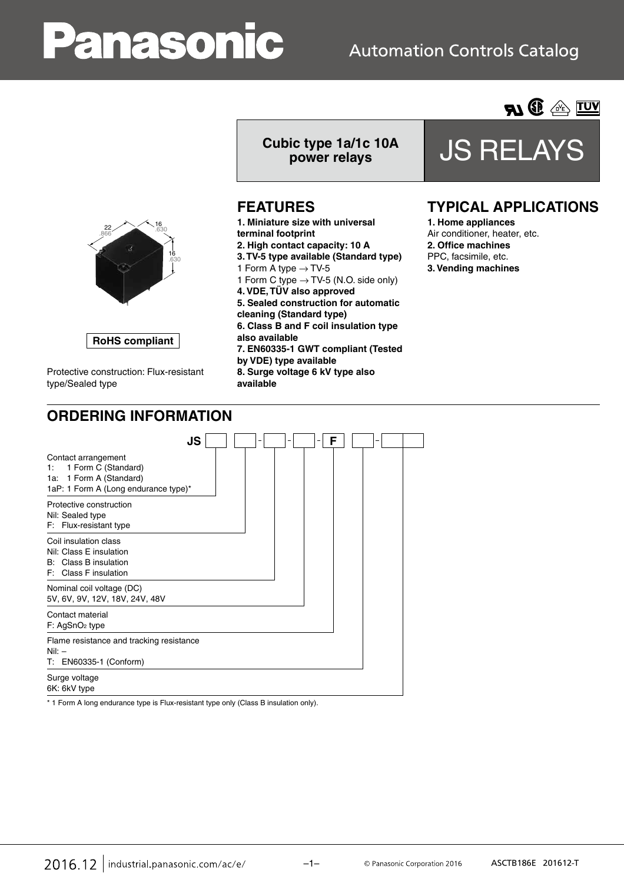# anasonic

## **Automation Controls Catalog**



## **power relays** JS RELAYS

**AI ® A TUY** 

## **TYPICAL APPLICATIONS**

Air conditioner, heater, etc. **2. Office machines** PPC, facsimile, etc. **3. Vending machines**

| OKDERING INFORMATION                                                                                                |        |     |   |  |
|---------------------------------------------------------------------------------------------------------------------|--------|-----|---|--|
| JS                                                                                                                  |        |     | F |  |
| Contact arrangement<br>1 Form C (Standard)<br>1:<br>1a: 1 Form A (Standard)<br>1aP: 1 Form A (Long endurance type)* |        |     |   |  |
| Protective construction<br>Nil: Sealed type<br>F: Flux-resistant type                                               |        |     |   |  |
| Coil insulation class<br>Nil: Class E insulation<br>B: Class B insulation<br>F: Class F insulation                  |        |     |   |  |
| Nominal coil voltage (DC)<br>5V, 6V, 9V, 12V, 18V, 24V, 48V                                                         |        |     |   |  |
| Contact material<br>F: AgSnO <sub>2</sub> type                                                                      |        |     |   |  |
| Flame resistance and tracking resistance<br>$Nil:$ $-$<br>T: EN60335-1 (Conform)                                    |        |     |   |  |
| Surge voltage<br>6K: 6kV type                                                                                       |        |     |   |  |
| .<br>$\cdot$ $\cdot$<br>$\cdots$                                                                                    | $\sim$ | --- |   |  |

\* 1 Form A long endurance type is Flux-resistant type only (Class B insulation only).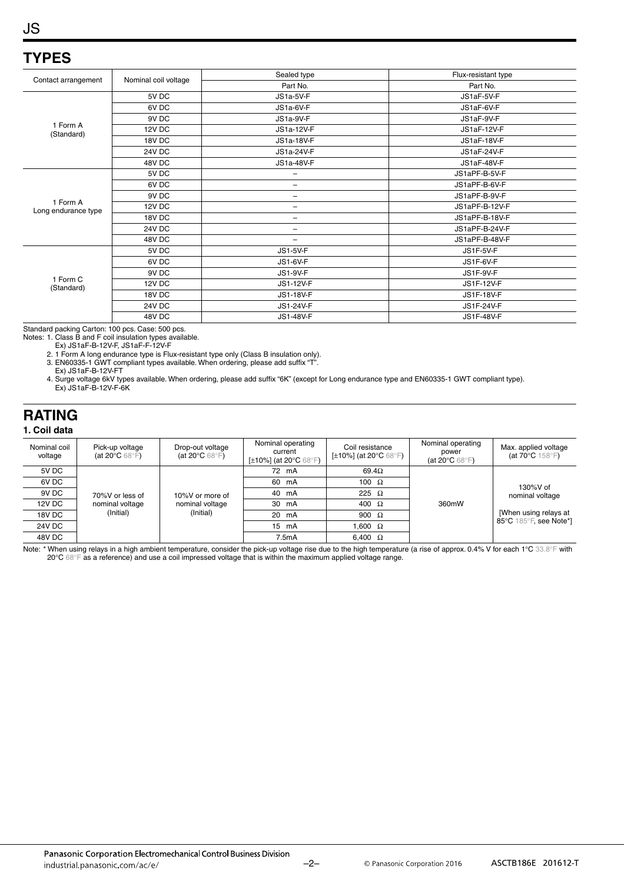## JS

## **TYPES**

|                                 |                      | Sealed type              | Flux-resistant type |
|---------------------------------|----------------------|--------------------------|---------------------|
| Contact arrangement             | Nominal coil voltage | Part No.                 | Part No.            |
|                                 | 5V DC                | JS1a-5V-F                | JS1aF-5V-F          |
|                                 | 6V DC                | JS1a-6V-F                | JS1aF-6V-F          |
|                                 | 9V DC                | JS1a-9V-F                | JS1aF-9V-F          |
| 1 Form A<br>(Standard)          | 12V DC               | JS1a-12V-F               | JS1aF-12V-F         |
|                                 | 18V DC               | JS1a-18V-F               | JS1aF-18V-F         |
|                                 | <b>24V DC</b>        | JS1a-24V-F               | JS1aF-24V-F         |
|                                 | 48V DC               | JS1a-48V-F               | JS1aF-48V-F         |
|                                 | 5V DC                |                          | JS1aPF-B-5V-F       |
|                                 | 6V DC                | -                        | JS1aPF-B-6V-F       |
|                                 | 9V DC                | -                        | JS1aPF-B-9V-F       |
| 1 Form A<br>Long endurance type | 12V DC               | $\overline{\phantom{0}}$ | JS1aPF-B-12V-F      |
|                                 | 18V DC               | -                        | JS1aPF-B-18V-F      |
|                                 | <b>24V DC</b>        | -                        | JS1aPF-B-24V-F      |
|                                 | 48V DC               | $\qquad \qquad -$        | JS1aPF-B-48V-F      |
|                                 | 5V DC                | <b>JS1-5V-F</b>          | JS1F-5V-F           |
|                                 | 6V DC                | <b>JS1-6V-F</b>          | JS1F-6V-F           |
| 1 Form C<br>(Standard)          | 9V DC                | <b>JS1-9V-F</b>          | JS1F-9V-F           |
|                                 | 12V DC               | JS1-12V-F                | JS1F-12V-F          |
|                                 | 18V DC               | JS1-18V-F                | JS1F-18V-F          |
|                                 | <b>24V DC</b>        | JS1-24V-F                | JS1F-24V-F          |
|                                 | 48V DC               | JS1-48V-F                | <b>JS1F-48V-F</b>   |

Standard packing Carton: 100 pcs. Case: 500 pcs.

Notes: 1. Class B and F coil insulation types available.

Ex) JS1aF-B-12V-F, JS1aF-F-12V-F

2. 1 Form A long endurance type is Flux-resistant type only (Class B insulation only). 3. EN60335-1 GWT compliant types available. When ordering, please add suffix "T".

Ex) JS1aF-B-12V-FT

4. Surge voltage 6kV types available. When ordering, please add suffix "6K" (except for Long endurance type and EN60335-1 GWT compliant type). Ex) JS1aF-B-12V-F-6K

## **RATING**

#### **1. Coil data**

| Nominal coil<br>voltage | Pick-up voltage<br>(at 20 $\degree$ C 68 $\degree$ F) | Drop-out voltage<br>(at 20 $\mathrm{^{\circ}C}$ 68 $\mathrm{^{\circ}F}$ ) | Nominal operating<br>current<br>[ $\pm$ 10%] (at 20 $^{\circ}$ C 68 $^{\circ}$ F) | Coil resistance<br>[ $\pm$ 10%] (at 20 $^{\circ}$ C 68 $^{\circ}$ F) | Nominal operating<br>power<br>(at 20 $\degree$ C 68 $\degree$ F) | Max. applied voltage<br>(at $70^{\circ}$ C $158^{\circ}$ F) |
|-------------------------|-------------------------------------------------------|---------------------------------------------------------------------------|-----------------------------------------------------------------------------------|----------------------------------------------------------------------|------------------------------------------------------------------|-------------------------------------------------------------|
| 5V DC                   |                                                       |                                                                           | 72 mA                                                                             | 69.4 $\Omega$                                                        |                                                                  |                                                             |
| 6V DC                   |                                                       |                                                                           | 60 mA                                                                             | 100 $\Omega$                                                         |                                                                  | $130\%$ V of<br>nominal voltage                             |
| 9V DC                   | 70%V or less of                                       | 10%V or more of                                                           | 40 mA                                                                             | 225 $\Omega$                                                         |                                                                  |                                                             |
| 12V DC                  | nominal voltage                                       | nominal voltage                                                           | 30 mA                                                                             | 400 $\Omega$                                                         | 360mW                                                            |                                                             |
| 18V DC                  | (Initial)                                             | (Initial)                                                                 | 20 mA                                                                             | 900 $\Omega$                                                         |                                                                  | [When using relays at                                       |
| 24V DC                  |                                                       |                                                                           | 15 mA                                                                             | 1.600 $\Omega$                                                       |                                                                  | 85°C 185°F, see Note*]                                      |
| 48V DC                  |                                                       |                                                                           | 7.5mA                                                                             | 6.400 $\Omega$                                                       |                                                                  |                                                             |

Note: \* When using relays in a high ambient temperature, consider the pick-up voltage rise due to the high temperature (a rise of approx. 0.4% V for each 1°C 33.8°F with 20°C 68°F as a reference) and use a coil impressed voltage that is within the maximum applied voltage range.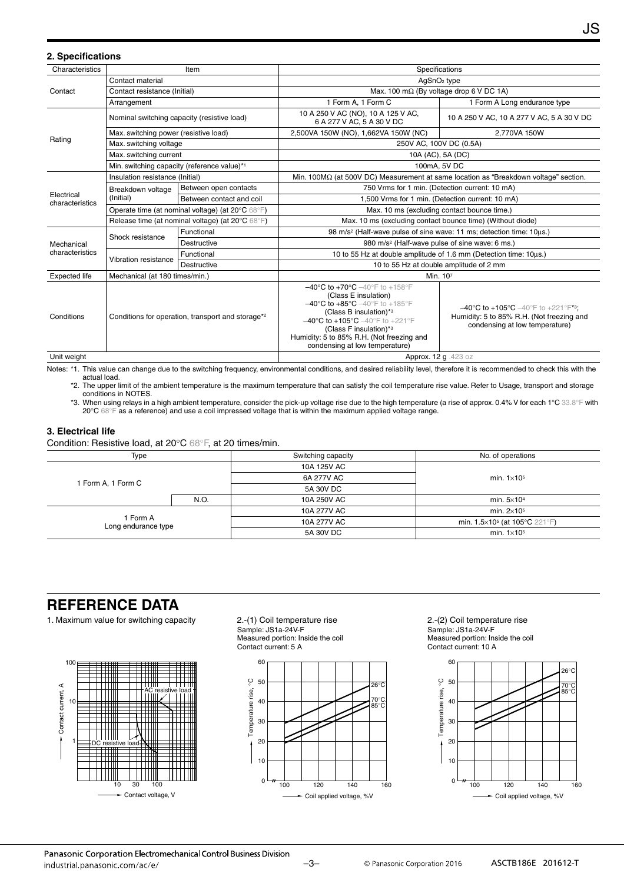| 2. Specifications                                |                                                                                                 |                                                            |                                                                                                                                                                                                                                                                                                                                                                                                         |                                                                                                                                       |  |  |  |
|--------------------------------------------------|-------------------------------------------------------------------------------------------------|------------------------------------------------------------|---------------------------------------------------------------------------------------------------------------------------------------------------------------------------------------------------------------------------------------------------------------------------------------------------------------------------------------------------------------------------------------------------------|---------------------------------------------------------------------------------------------------------------------------------------|--|--|--|
| Characteristics                                  |                                                                                                 | Item                                                       | Specifications                                                                                                                                                                                                                                                                                                                                                                                          |                                                                                                                                       |  |  |  |
| Contact                                          | Contact material                                                                                |                                                            | AgSnO <sub>2</sub> type                                                                                                                                                                                                                                                                                                                                                                                 |                                                                                                                                       |  |  |  |
|                                                  | Contact resistance (Initial)                                                                    |                                                            | Max. 100 m $\Omega$ (By voltage drop 6 V DC 1A)                                                                                                                                                                                                                                                                                                                                                         |                                                                                                                                       |  |  |  |
|                                                  | Arrangement                                                                                     |                                                            | 1 Form A, 1 Form C                                                                                                                                                                                                                                                                                                                                                                                      | 1 Form A Long endurance type                                                                                                          |  |  |  |
|                                                  |                                                                                                 | Nominal switching capacity (resistive load)                | 10 A 250 V AC (NO), 10 A 125 V AC,<br>6 A 277 V AC, 5 A 30 V DC                                                                                                                                                                                                                                                                                                                                         | 10 A 250 V AC, 10 A 277 V AC, 5 A 30 V DC                                                                                             |  |  |  |
|                                                  | Max. switching power (resistive load)                                                           |                                                            | 2,500VA 150W (NO), 1,662VA 150W (NC)                                                                                                                                                                                                                                                                                                                                                                    | 2,770VA 150W                                                                                                                          |  |  |  |
| Rating                                           | Max. switching voltage                                                                          |                                                            |                                                                                                                                                                                                                                                                                                                                                                                                         | 250V AC, 100V DC (0.5A)                                                                                                               |  |  |  |
|                                                  | Max. switching current                                                                          |                                                            |                                                                                                                                                                                                                                                                                                                                                                                                         | 10A (AC), 5A (DC)                                                                                                                     |  |  |  |
|                                                  |                                                                                                 | Min. switching capacity (reference value)*1                |                                                                                                                                                                                                                                                                                                                                                                                                         | 100mA, 5V DC                                                                                                                          |  |  |  |
|                                                  | Insulation resistance (Initial)                                                                 |                                                            | Min. 100 $\text{M}\Omega$ (at 500V DC) Measurement at same location as "Breakdown voltage" section.                                                                                                                                                                                                                                                                                                     |                                                                                                                                       |  |  |  |
|                                                  | Breakdown voltage<br>(Initial)                                                                  | Between open contacts                                      | 750 Vrms for 1 min. (Detection current: 10 mA)                                                                                                                                                                                                                                                                                                                                                          |                                                                                                                                       |  |  |  |
| Electrical<br>characteristics                    |                                                                                                 | Between contact and coil                                   | 1,500 Vrms for 1 min. (Detection current: 10 mA)                                                                                                                                                                                                                                                                                                                                                        |                                                                                                                                       |  |  |  |
|                                                  | Operate time (at nominal voltage) (at 20°C 68°F)                                                |                                                            | Max. 10 ms (excluding contact bounce time.)                                                                                                                                                                                                                                                                                                                                                             |                                                                                                                                       |  |  |  |
| Release time (at nominal voltage) (at 20°C 68°F) |                                                                                                 | Max. 10 ms (excluding contact bounce time) (Without diode) |                                                                                                                                                                                                                                                                                                                                                                                                         |                                                                                                                                       |  |  |  |
|                                                  | Shock resistance                                                                                | Functional                                                 | 98 m/s <sup>2</sup> (Half-wave pulse of sine wave: 11 ms; detection time: 10us.)                                                                                                                                                                                                                                                                                                                        |                                                                                                                                       |  |  |  |
| Mechanical                                       |                                                                                                 | Destructive                                                | 980 m/s <sup>2</sup> (Half-wave pulse of sine wave: 6 ms.)                                                                                                                                                                                                                                                                                                                                              |                                                                                                                                       |  |  |  |
| characteristics                                  | Vibration resistance                                                                            | Functional                                                 | 10 to 55 Hz at double amplitude of 1.6 mm (Detection time: 10us.)                                                                                                                                                                                                                                                                                                                                       |                                                                                                                                       |  |  |  |
|                                                  |                                                                                                 | Destructive                                                |                                                                                                                                                                                                                                                                                                                                                                                                         | 10 to 55 Hz at double amplitude of 2 mm                                                                                               |  |  |  |
| <b>Expected life</b>                             |                                                                                                 |                                                            |                                                                                                                                                                                                                                                                                                                                                                                                         | Min. 107                                                                                                                              |  |  |  |
| Conditions                                       | Mechanical (at 180 times/min.)<br>Conditions for operation, transport and storage <sup>*2</sup> |                                                            | $-40^{\circ}$ C to $+70^{\circ}$ C $-40^{\circ}$ F to $+158^{\circ}$ F<br>(Class E insulation)<br>$-40^{\circ}$ C to $+85^{\circ}$ C $-40^{\circ}$ F to $+185^{\circ}$ F<br>(Class B insulation) $*$ <sup>3</sup><br>$-40^{\circ}$ C to +105 $^{\circ}$ C $-40^{\circ}$ F to +221 $^{\circ}$ F<br>(Class F insulation)*3<br>Humidity: 5 to 85% R.H. (Not freezing and<br>condensing at low temperature) | $-40^{\circ}$ C to +105°C $-40^{\circ}$ F to +221°F*3;<br>Humidity: 5 to 85% R.H. (Not freezing and<br>condensing at low temperature) |  |  |  |

Unit weight Approx. 12 g .423 oz

Notes: \*1. This value can change due to the switching frequency, environmental conditions, and desired reliability level, therefore it is recommended to check this with the actual load.

\*2. The upper limit of the ambient temperature is the maximum temperature that can satisfy the coil temperature rise value. Refer to Usage, transport and storage conditions in NOTES.

\*3. When using relays in a high ambient temperature, consider the pick-up voltage rise due to the high temperature (a rise of approx. 0.4% V for each 1°C 33.8°F with 20°C 68°F as a reference) and use a coil impressed voltage that is within the maximum applied voltage range.

#### **3. Electrical life**

Condition: Resistive load, at 20°C 68°F, at 20 times/min.

| Type                            |      | Switching capacity | No. of operations                         |
|---------------------------------|------|--------------------|-------------------------------------------|
|                                 |      | 10A 125V AC        |                                           |
|                                 |      | 6A 277V AC         | min. $1\times105$                         |
| 1 Form A, 1 Form C              |      | 5A 30V DC          |                                           |
|                                 | N.O. | 10A 250V AC        | min. $5\times10^4$                        |
| l Form A<br>Long endurance type |      | 10A 277V AC        | min. $2\times105$                         |
|                                 |      | 10A 277V AC        | min. $1.5 \times 10^5$ (at 105 °C 221 °F) |
|                                 |      | 5A 30V DC          | min. $1\times105$                         |

### **REFERENCE DATA**

1. Maximum value for switching capacity 2.-(1) Coil temperature rise



Sample: JS1a-24V-F Measured portion: Inside the coil Contact current: 5 A



2.-(2) Coil temperature rise Sample: JS1a-24V-F Measured portion: Inside the coil Contact current: 10 A



JS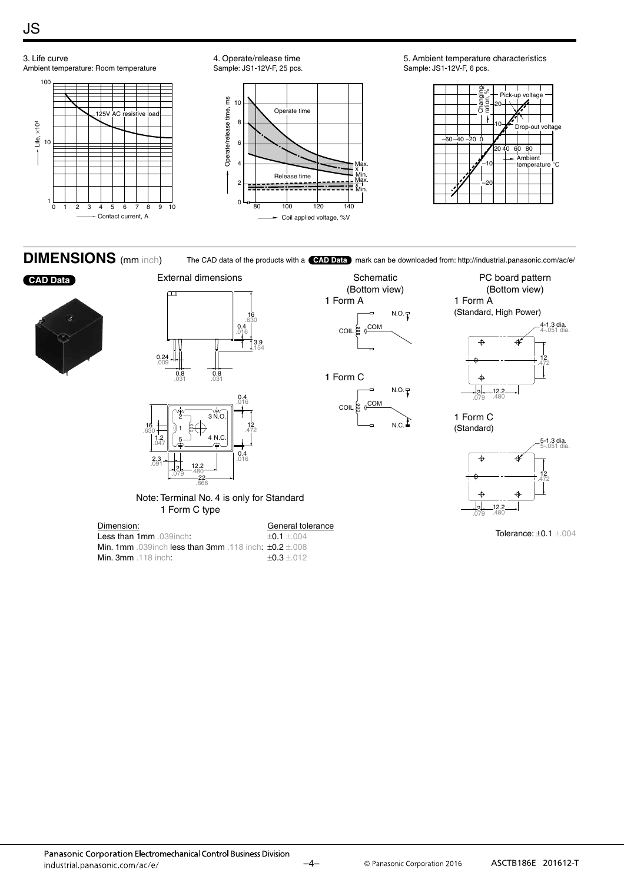JS

#### 3. Life curve 4. Operate/release time 5. Ambient temperature characteristics Ambient temperature: Room temperature Sample: JS1-12V-F, 25 pcs. Sample: JS1-12V-F, 6 pcs. 100 ration, % Pick-up voltage Operate/release time, ms Operate/release time, ms 10 20 Operate time  $\tilde{\tau}$ 125V AC resistive load 8 Life, ×104 10 Drop  $-40 -20$ 10 6 20 40 60 80 **Ambient** 4 temperature °C Max. –10 – x Release time<br> **THERE** Min. Max. 2 – –20 x Min.  $\frac{1}{0}$  $0<sup>1</sup>$ 0 1 2 3 4 5 6 7 8 9 10 80 100 120 140

Coil applied voltage, %V

#### **DIMENSIONS** (mm inch)

Contact current, A

The CAD data of the products with a **CAD Data** mark can be downloaded from: http://industrial.panasonic.com/ac/e/ Schematic







Note: Terminal No. 4 is only for Standard 1 Form C type

16

.630

3.9

.154

| Dimension:                                                                   | General tolerance   |
|------------------------------------------------------------------------------|---------------------|
| Less than 1mm 039 inch:                                                      | $+0.1 + 0.04$       |
| <b>Min. 1mm</b> .039 inch <b>less than 3mm</b> .118 inch: $\pm 0.2 \pm 0.08$ |                     |
| <b>Min. 3mm</b> $.118$ inch:                                                 | $\pm 0.3 \pm 0.012$ |

(Bottom view) 1 Form A 1 Form C N.O. COIL & COM  $N.O.\sqrt{T}$ 

COIL & COM

 $N.C.$ 



PC board pattern

1 Form C (Standard)



Tolerance: ±0.1 ±.004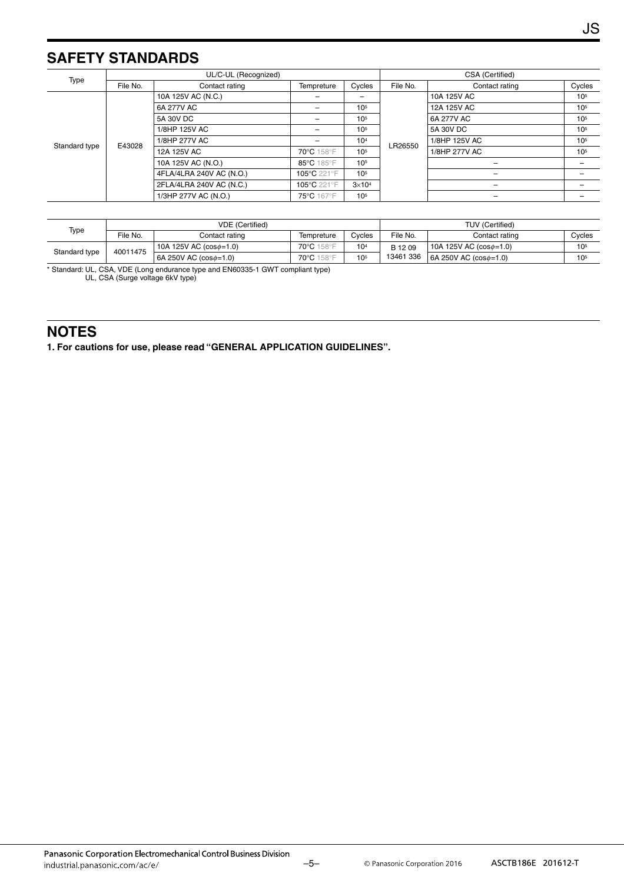## **SAFETY STANDARDS**

| Type                    | UL/C-UL (Recognized) |                          |                   |                 |          | CSA (Certified)          |                 |  |  |
|-------------------------|----------------------|--------------------------|-------------------|-----------------|----------|--------------------------|-----------------|--|--|
|                         | File No.             | Contact rating           | Tempreture        | Cycles          | File No. | Contact rating           | Cycles          |  |  |
| E43028<br>Standard type |                      | 10A 125V AC (N.C.)       | $\qquad \qquad -$ | $\qquad \qquad$ | LR26550  | 10A 125V AC              | 10 <sup>5</sup> |  |  |
|                         |                      | 6A 277V AC               | $\qquad \qquad -$ | 10 <sup>5</sup> |          | 12A 125V AC              | 10 <sup>5</sup> |  |  |
|                         |                      | 5A 30V DC                | -                 | 10 <sup>5</sup> |          | 6A 277V AC               | 10 <sup>5</sup> |  |  |
|                         |                      | 1/8HP 125V AC            | -                 | 10 <sup>5</sup> |          | 5A 30V DC                | 10 <sup>5</sup> |  |  |
|                         |                      | 1/8HP 277V AC            | -                 | 10 <sup>4</sup> |          | 1/8HP 125V AC            | 10 <sup>5</sup> |  |  |
|                         |                      | 12A 125V AC              | 70°C 158°F        | 10 <sup>5</sup> |          | 1/8HP 277V AC            | 10 <sup>5</sup> |  |  |
|                         |                      | 10A 125V AC (N.O.)       | 85°C 185°F        | 10 <sup>5</sup> |          |                          |                 |  |  |
|                         |                      | 4FLA/4LRA 240V AC (N.O.) | 105°C 221°F       | 10 <sup>5</sup> |          | $\overline{\phantom{0}}$ |                 |  |  |
|                         |                      | 2FLA/4LRA 240V AC (N.C.) | 105°C 221°F       | $3\times10^4$   |          |                          |                 |  |  |
|                         |                      | 1/3HP 277V AC (N.O.)     | 75°C 167°F        | 10 <sup>5</sup> |          |                          |                 |  |  |

|               |          | <b>VDE</b> (Certified)         |            |                 | <b>TUV (Certified)</b> |                                      |                 |
|---------------|----------|--------------------------------|------------|-----------------|------------------------|--------------------------------------|-----------------|
| Type          | File No. | Contact rating                 | Tempreture | Cvcles          | File No.               | Contact rating                       | Cycles          |
| Standard type | 40011475 | 10A 125V AC $(cos \phi = 1.0)$ | 70°C 158°F | 10 <sup>4</sup> | B 12 09                | 10A 125V AC $(cos \phi = 1.0)$       | 10 <sub>5</sub> |
|               |          | 6A 250V AC $(cos \phi = 1.0)$  | 70°C 158°F | 10 <sub>5</sub> | 13461 336              | $\vert$ 6A 250V AC (cos $\phi$ =1.0) | 10 <sup>5</sup> |

\* Standard: UL, CSA, VDE (Long endurance type and EN60335-1 GWT compliant type)

UL, CSA (Surge voltage 6kV type)

### **NOTES**

**1. For cautions for use, please read "GENERAL APPLICATION GUIDELINES".**